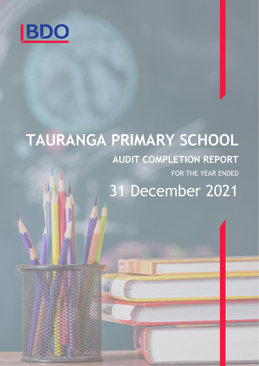

# **TAURANGA PRIMARY SCHOOL AUDIT COMPLETION REPORT** FOR THE YEAR ENDED 31 December 2021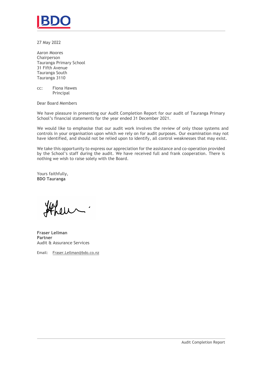

27 May 2022

Aaron Moores Chairperson Tauranga Primary School 31 Fifth Avenue Tauranga South Tauranga 3110

cc: Fiona Hawes Principal

Dear Board Members

We have pleasure in presenting our Audit Completion Report for our audit of Tauranga Primary School's financial statements for the year ended 31 December 2021.

We would like to emphasise that our audit work involves the review of only those systems and controls in your organisation upon which we rely on for audit purposes. Our examination may not have identified, and should not be relied upon to identify, all control weaknesses that may exist.

We take this opportunity to express our appreciation for the assistance and co-operation provided by the School's staff during the audit. We have received full and frank cooperation. There is nothing we wish to raise solely with the Board.

Yours faithfully, **BDO Tauranga**

 $0<sup>1</sup>$ 

**Fraser Lellman Partner** Audit & Assurance Services

Email: Fraser.Lellman@bdo.co.nz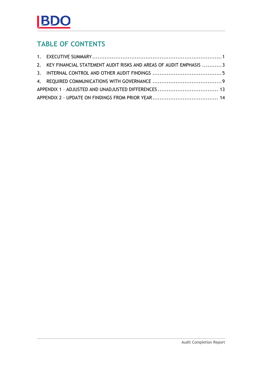## **TABLE OF CONTENTS**

|  | 2. KEY FINANCIAL STATEMENT AUDIT RISKS AND AREAS OF AUDIT EMPHASIS 3 |  |
|--|----------------------------------------------------------------------|--|
|  |                                                                      |  |
|  |                                                                      |  |
|  |                                                                      |  |
|  |                                                                      |  |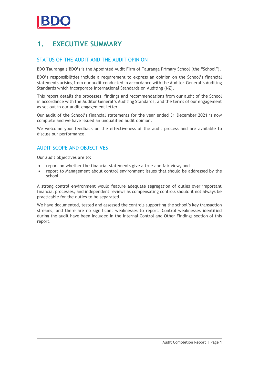## <span id="page-3-0"></span>**1. EXECUTIVE SUMMARY**

### STATUS OF THE AUDIT AND THE AUDIT OPINION

BDO Tauranga ('BDO') is the Appointed Audit Firm of Tauranga Primary School (the "School").

BDO's responsibilities include a requirement to express an opinion on the School's financial statements arising from our audit conducted in accordance with the Auditor-General's Auditing Standards which incorporate International Standards on Auditing (NZ).

This report details the processes, findings and recommendations from our audit of the School in accordance with the Auditor General's Auditing Standards, and the terms of our engagement as set out in our audit engagement letter.

Our audit of the School's financial statements for the year ended 31 December 2021 is now complete and we have issued an unqualified audit opinion.

We welcome your feedback on the effectiveness of the audit process and are available to discuss our performance.

### AUDIT SCOPE AND OBJECTIVES

Our audit objectives are to:

- report on whether the financial statements give a true and fair view, and
- report to Management about control environment issues that should be addressed by the school.

A strong control environment would feature adequate segregation of duties over important financial processes, and independent reviews as compensating controls should it not always be practicable for the duties to be separated.

We have documented, tested and assessed the controls supporting the school's key transaction streams, and there are no significant weaknesses to report. Control weaknesses identified during the audit have been included in the Internal Control and Other Findings section of this report.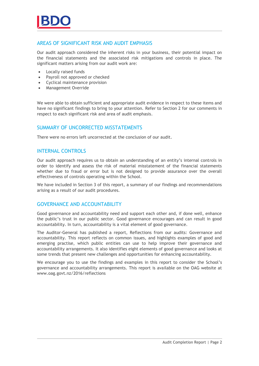#### AREAS OF SIGNIFICANT RISK AND AUDIT EMPHASIS

Our audit approach considered the inherent risks in your business, their potential impact on the financial statements and the associated risk mitigations and controls in place. The significant matters arising from our audit work are:

- Locally raised funds
- Payroll not approved or checked
- Cyclical maintenance provision
- Management Override

We were able to obtain sufficient and appropriate audit evidence in respect to these items and have no significant findings to bring to your attention. Refer to Section 2 for our comments in respect to each significant risk and area of audit emphasis.

#### SUMMARY OF UNCORRECTED MISSTATEMENTS

There were no errors left uncorrected at the conclusion of our audit.

#### INTERNAL CONTROLS

Our audit approach requires us to obtain an understanding of an entity's internal controls in order to identify and assess the risk of material misstatement of the financial statements whether due to fraud or error but is not designed to provide assurance over the overall effectiveness of controls operating within the School.

We have included in Section 3 of this report, a summary of our findings and recommendations arising as a result of our audit procedures.

#### GOVERNANCE AND ACCOUNTABILITY

Good governance and accountability need and support each other and, if done well, enhance the public's trust in our public sector. Good governance encourages and can result in good accountability. In turn, accountability is a vital element of good governance.

The Auditor-General has published a report, Reflections from our audits: Governance and accountability. This report reflects on common issues, and highlights examples of good and emerging practise, which public entities can use to help improve their governance and accountability arrangements. It also identifies eight elements of good governance and looks at some trends that present new challenges and opportunities for enhancing accountability.

We encourage you to use the findings and examples in this report to consider the School's governance and accountability arrangements. This report is available on the OAG website at [www.oag.govt.nz/2016/reflections](http://www.oag.govt.nz/2016/reflections)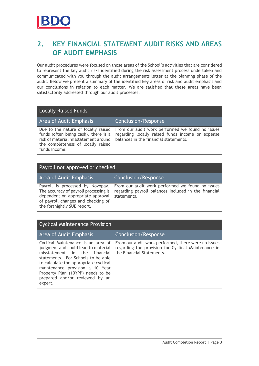## <span id="page-5-0"></span>**2. KEY FINANCIAL STATEMENT AUDIT RISKS AND AREAS OF AUDIT EMPHASIS**

Our audit procedures were focused on those areas of the School's activities that are considered to represent the key audit risks identified during the risk assessment process undertaken and communicated with you through the audit arrangements letter at the planning phase of the audit. Below we present a summary of the identified key areas of risk and audit emphasis and our conclusions in relation to each matter. We are satisfied that these areas have been satisfactorily addressed through our audit processes.

#### Locally Raised Funds

Area of Audit Emphasis Conclusion/Response

Due to the nature of locally raised funds (often being cash), there is a risk of material misstatement around the completeness of locally raised funds income.

From our audit work performed we found no issues regarding locally raised funds income or expense balances in the financial statements.

#### Payroll not approved or checked

Area of Audit Emphasis Conclusion/Response

Payroll is processed by Novopay. The accuracy of payroll processing is dependent on appropriate approval of payroll changes and checking of the fortnightly SUE report.

From our audit work performed we found no issues regarding payroll balances included in the financial statements.

### Cyclical Maintenance Provision

#### Area of Audit Emphasis Conclusion/Response

Cyclical Maintenance is an area of judgment and could lead to material misstatement in the financial statements. For Schools to be able to calculate the appropriate cyclical maintenance provision a 10 Year Property Plan (10YPP) needs to be prepared and/or reviewed by an expert.

From our audit work performed, there were no issues regarding the provision for Cyclical Maintenance in the Financial Statements.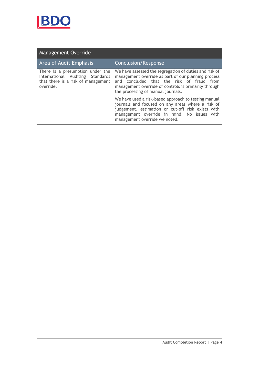

## Management Override

| Area of Audit Emphasis                                                                                                  | <b>Conclusion/Response</b>                                                                                                                                                                                                                               |
|-------------------------------------------------------------------------------------------------------------------------|----------------------------------------------------------------------------------------------------------------------------------------------------------------------------------------------------------------------------------------------------------|
| There is a presumption under the<br>International Auditing Standards<br>that there is a risk of management<br>override. | We have assessed the segregation of duties and risk of<br>management override as part of our planning process<br>and concluded that the risk of fraud from<br>management override of controls is primarily through<br>the processing of manual journals. |
|                                                                                                                         | We have used a risk-based approach to testing manual<br>journals and focused on any areas where a risk of<br>judgement, estimation or cut-off risk exists with<br>management override in mind. No issues with<br>management override we noted.           |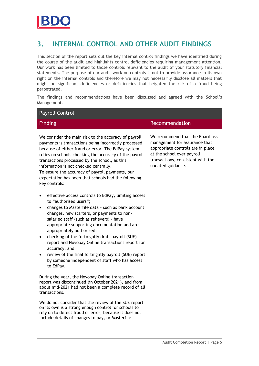## <span id="page-7-0"></span>**3. INTERNAL CONTROL AND OTHER AUDIT FINDINGS**

This section of the report sets out the key internal control findings we have identified during the course of the audit and highlights control deficiencies requiring management attention. Our work has been limited to those controls relevant to the audit of your statutory financial statements. The purpose of our audit work on controls is not to provide assurance in its own right on the internal controls and therefore we may not necessarily disclose all matters that might be significant deficiencies or deficiencies that heighten the risk of a fraud being perpetrated.

The findings and recommendations have been discussed and agreed with the School's Management.

#### Payroll Control

We consider the main risk to the accuracy of payroll payments is transactions being incorrectly processed, because of either fraud or error. The EdPay system relies on schools checking the accuracy of the payroll transactions processed by the school, as this information is not checked centrally. To ensure the accuracy of payroll payments, our expectation has been that schools had the following key controls:

- effective access controls to EdPay, limiting access to "authorised users";
- changes to Masterfile data such as bank account changes, new starters, or payments to nonsalaried staff (such as relievers) - have appropriate supporting documentation and are appropriately authorised;
- checking of the fortnightly draft payroll (SUE) report and Novopay Online transactions report for accuracy; and
- review of the final fortnightly payroll (SUE) report by someone independent of staff who has access to EdPay.

During the year, the Novopay Online transaction report was discontinued (in October 2021), and from about mid-2021 had not been a complete record of all transactions.

We do not consider that the review of the SUE report on its own is a strong enough control for schools to rely on to detect fraud or error, because it does not include details of changes to pay, or Masterfile

#### **Finding Execution** Recommendation

We recommend that the Board ask management for assurance that appropriate controls are in place at the school over payroll transactions, consistent with the updated guidance.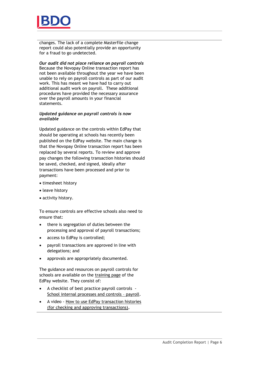

changes. The lack of a complete Masterfile change report could also potentially provide an opportunity for a fraud to go undetected.

#### *Our audit did not place reliance on payroll controls*

Because the Novopay Online transaction report has not been available throughout the year we have been unable to rely on payroll controls as part of our audit work. This has meant we have had to carry out additional audit work on payroll. These additional procedures have provided the necessary assurance over the payroll amounts in your financial statements.

#### *Updated guidance on payroll controls is now available*

Updated guidance on the controls within EdPay that should be operating at schools has recently been published on the EdPay website. The main change is that the Novopay Online transaction report has been replaced by several reports. To review and approve pay changes the following transaction histories should be saved, checked, and signed, ideally after transactions have been processed and prior to payment:

- timesheet history
- leave history
- activity history.

To ensure controls are effective schools also need to ensure that:

- there is segregation of duties between the processing and approval of payroll transactions;
- access to EdPay is controlled;
- payroll transactions are approved in line with delegations; and
- approvals are appropriately documented.

The guidance and resources on payroll controls for schools are available on the [training page](https://aus01.safelinks.protection.outlook.com/?url=https%3A%2F%2Fwww.edpay.govt.nz%2FSite%2FTraining%2Fdefault.aspx&data=04%7C01%7CJane.Rogers%40oag.parliament.nz%7C36b244bffba2417f5b0f08da103d951e%7Cbb2c152e30d940d5a418874d0f8af670%7C0%7C0%7C637840154073031959%7CUnknown%7CTWFpbGZsb3d8eyJWIjoiMC4wLjAwMDAiLCJQIjoiV2luMzIiLCJBTiI6Ik1haWwiLCJXVCI6Mn0%3D%7C2000&sdata=PtmLQ2rCJyaNRi9KKe1BSK3LKfrlu5Zp3Pq2SqDNdUU%3D&reserved=0) of the EdPay website. They consist of:

- A checklist of best practice payroll controls [School internal processes and controls](https://aus01.safelinks.protection.outlook.com/?url=https%3A%2F%2Fwww.edpay.govt.nz%2Fincludes%2Fdownload.ashx%3FID%3D162146&data=04%7C01%7CJane.Rogers%40oag.parliament.nz%7C6b4b0227683b4ddd631d08da11db0399%7Cbb2c152e30d940d5a418874d0f8af670%7C0%7C0%7C637841929598112561%7CUnknown%7CTWFpbGZsb3d8eyJWIjoiMC4wLjAwMDAiLCJQIjoiV2luMzIiLCJBTiI6Ik1haWwiLCJXVCI6Mn0%3D%7C3000&sdata=eHcc%2BHSqWhkVg6gaoj5udl1%2FioQXfF8AacKOp4oRN5A%3D&reserved=0) – payroll.
- A video [How to use EdPay transaction histories](https://aus01.safelinks.protection.outlook.com/?url=https%3A%2F%2Fvimeo.com%2F656813834%2F196cc3c812&data=04%7C01%7CJane.Rogers%40oag.parliament.nz%7C6b4b0227683b4ddd631d08da11db0399%7Cbb2c152e30d940d5a418874d0f8af670%7C0%7C0%7C637841929598112561%7CUnknown%7CTWFpbGZsb3d8eyJWIjoiMC4wLjAwMDAiLCJQIjoiV2luMzIiLCJBTiI6Ik1haWwiLCJXVCI6Mn0%3D%7C3000&sdata=VUOqKJ5ZiIllRyXbBbHYiTMjfMPvIjQ9t%2FsseiLVZRI%3D&reserved=0)  [\(for checking and approving transactions\)](https://aus01.safelinks.protection.outlook.com/?url=https%3A%2F%2Fvimeo.com%2F656813834%2F196cc3c812&data=04%7C01%7CJane.Rogers%40oag.parliament.nz%7C6b4b0227683b4ddd631d08da11db0399%7Cbb2c152e30d940d5a418874d0f8af670%7C0%7C0%7C637841929598112561%7CUnknown%7CTWFpbGZsb3d8eyJWIjoiMC4wLjAwMDAiLCJQIjoiV2luMzIiLCJBTiI6Ik1haWwiLCJXVCI6Mn0%3D%7C3000&sdata=VUOqKJ5ZiIllRyXbBbHYiTMjfMPvIjQ9t%2FsseiLVZRI%3D&reserved=0)**.**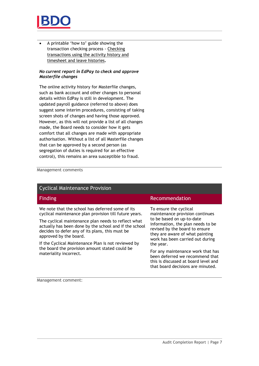

• A printable 'how to' guide showing the transaction checking process - [Checking](https://aus01.safelinks.protection.outlook.com/?url=https%3A%2F%2Fwww.edpay.govt.nz%2Fincludes%2Fdownload.ashx%3FID%3D161433&data=04%7C01%7CJane.Rogers%40oag.parliament.nz%7C6b4b0227683b4ddd631d08da11db0399%7Cbb2c152e30d940d5a418874d0f8af670%7C0%7C0%7C637841929598112561%7CUnknown%7CTWFpbGZsb3d8eyJWIjoiMC4wLjAwMDAiLCJQIjoiV2luMzIiLCJBTiI6Ik1haWwiLCJXVCI6Mn0%3D%7C3000&sdata=BbyinLnZoQEoEeX6%2F%2F7MO4xIhoR%2FuLVo%2BTer3tXU878%3D&reserved=0)  [transactions using the activity history and](https://aus01.safelinks.protection.outlook.com/?url=https%3A%2F%2Fwww.edpay.govt.nz%2Fincludes%2Fdownload.ashx%3FID%3D161433&data=04%7C01%7CJane.Rogers%40oag.parliament.nz%7C6b4b0227683b4ddd631d08da11db0399%7Cbb2c152e30d940d5a418874d0f8af670%7C0%7C0%7C637841929598112561%7CUnknown%7CTWFpbGZsb3d8eyJWIjoiMC4wLjAwMDAiLCJQIjoiV2luMzIiLCJBTiI6Ik1haWwiLCJXVCI6Mn0%3D%7C3000&sdata=BbyinLnZoQEoEeX6%2F%2F7MO4xIhoR%2FuLVo%2BTer3tXU878%3D&reserved=0)  [timesheet and leave histories](https://aus01.safelinks.protection.outlook.com/?url=https%3A%2F%2Fwww.edpay.govt.nz%2Fincludes%2Fdownload.ashx%3FID%3D161433&data=04%7C01%7CJane.Rogers%40oag.parliament.nz%7C6b4b0227683b4ddd631d08da11db0399%7Cbb2c152e30d940d5a418874d0f8af670%7C0%7C0%7C637841929598112561%7CUnknown%7CTWFpbGZsb3d8eyJWIjoiMC4wLjAwMDAiLCJQIjoiV2luMzIiLCJBTiI6Ik1haWwiLCJXVCI6Mn0%3D%7C3000&sdata=BbyinLnZoQEoEeX6%2F%2F7MO4xIhoR%2FuLVo%2BTer3tXU878%3D&reserved=0)**.**

#### *No current report in EdPay to check and approve Masterfile changes*

The online activity history for Masterfile changes, such as bank account and other changes to personal details within EdPay is still in development. The updated payroll guidance (referred to above) does suggest some interim procedures, consisting of taking screen shots of changes and having those approved. However, as this will not provide a list of all changes made, the Board needs to consider how it gets comfort that all changes are made with appropriate authorisation. Without a list of all Masterfile changes that can be approved by a second person (as segregation of duties is required for an effective control), this remains an area susceptible to fraud.

#### Management comments

| <b>Cyclical Maintenance Provision</b>                                                                                                                                                                                                                                                                                                                                                                                                       |                                                                                                                                                                                                                                                                                                                                                                                                        |  |  |
|---------------------------------------------------------------------------------------------------------------------------------------------------------------------------------------------------------------------------------------------------------------------------------------------------------------------------------------------------------------------------------------------------------------------------------------------|--------------------------------------------------------------------------------------------------------------------------------------------------------------------------------------------------------------------------------------------------------------------------------------------------------------------------------------------------------------------------------------------------------|--|--|
| <b>Finding</b>                                                                                                                                                                                                                                                                                                                                                                                                                              | Recommendation                                                                                                                                                                                                                                                                                                                                                                                         |  |  |
| We note that the school has deferred some of its<br>cyclical maintenance plan provision till future years.<br>The cyclical maintenance plan needs to reflect what<br>actually has been done by the school and if the school<br>decides to defer any of its plans, this must be<br>approved by the board.<br>If the Cyclical Maintenance Plan is not reviewed by<br>the board the provision amount stated could be<br>materiality incorrect. | To ensure the cyclical<br>maintenance provision continues<br>to be based on up-to-date<br>information, the plan needs to be<br>revised by the board to ensure<br>they are aware of what painting<br>work has been carried out during<br>the year.<br>For any maintenance work that has<br>been deferred we recommend that<br>this is discussed at board level and<br>that board decisions are minuted. |  |  |

Management comment: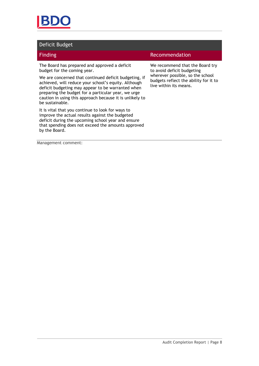

#### Deficit Budget

The Board has prepared and approved a deficit budget for the coming year.

We are concerned that continued deficit budgeting, if achieved, will reduce your school's equity. Although deficit budgeting may appear to be warranted when preparing the budget for a particular year, we urge caution in using this approach because it is unlikely to be sustainable.

It is vital that you continue to look for ways to improve the actual results against the budgeted deficit during the upcoming school year and ensure that spending does not exceed the amounts approved by the Board.

#### Finding **Recommendation**

We recommend that the Board try to avoid deficit budgeting wherever possible, so the school budgets reflect the ability for it to live within its means.

Management comment: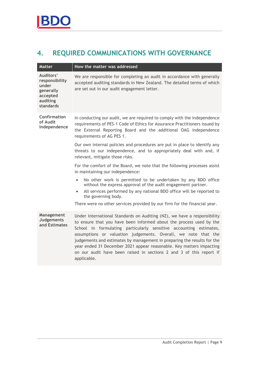## <span id="page-11-0"></span>**4. REQUIRED COMMUNICATIONS WITH GOVERNANCE**

| <b>Matter</b>                                                                          | How the matter was addressed                                                                                                                                                                                                                                                                                                                                                                                                                                                                                                     |
|----------------------------------------------------------------------------------------|----------------------------------------------------------------------------------------------------------------------------------------------------------------------------------------------------------------------------------------------------------------------------------------------------------------------------------------------------------------------------------------------------------------------------------------------------------------------------------------------------------------------------------|
| Auditors'<br>responsibility<br>under<br>generally<br>accepted<br>auditing<br>standards | We are responsible for completing an audit in accordance with generally<br>accepted auditing standards in New Zealand. The detailed terms of which<br>are set out in our audit engagement letter.                                                                                                                                                                                                                                                                                                                                |
| Confirmation<br>of Audit<br>Independence                                               | In conducting our audit, we are required to comply with the independence<br>requirements of PES-1 Code of Ethics for Assurance Practitioners issued by<br>the External Reporting Board and the additional OAG independence<br>requirements of AG PES 1.                                                                                                                                                                                                                                                                          |
|                                                                                        | Our own internal policies and procedures are put in place to identify any<br>threats to our independence, and to appropriately deal with and, if<br>relevant, mitigate those risks.                                                                                                                                                                                                                                                                                                                                              |
|                                                                                        | For the comfort of the Board, we note that the following processes assist<br>in maintaining our independence:                                                                                                                                                                                                                                                                                                                                                                                                                    |
|                                                                                        | No other work is permitted to be undertaken by any BDO office<br>$\bullet$<br>without the express approval of the audit engagement partner.<br>All services performed by any national BDO office will be reported to<br>$\bullet$<br>the governing body.                                                                                                                                                                                                                                                                         |
|                                                                                        | There were no other services provided by our firm for the financial year.                                                                                                                                                                                                                                                                                                                                                                                                                                                        |
| Management<br><b>Judgements</b><br>and Estimates                                       | Under International Standards on Auditing (NZ), we have a responsibility<br>to ensure that you have been informed about the process used by the<br>School in formulating particularly sensitive accounting estimates,<br>assumptions or valuation judgements. Overall, we note that the<br>judgements and estimates by management in preparing the results for the<br>year ended 31 December 2021 appear reasonable. Key matters impacting<br>on our audit have been raised in sections 2 and 3 of this report if<br>applicable. |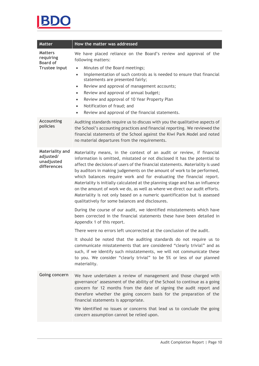

| <b>Matter</b>                                                                                                                                                                                                                                                                                                            | How the matter was addressed                                                                                                                                                                                                                                                                                                                                                                                                                                                                                                                                                                                                                                                                                                                                                                                                                                                                                                                         |
|--------------------------------------------------------------------------------------------------------------------------------------------------------------------------------------------------------------------------------------------------------------------------------------------------------------------------|------------------------------------------------------------------------------------------------------------------------------------------------------------------------------------------------------------------------------------------------------------------------------------------------------------------------------------------------------------------------------------------------------------------------------------------------------------------------------------------------------------------------------------------------------------------------------------------------------------------------------------------------------------------------------------------------------------------------------------------------------------------------------------------------------------------------------------------------------------------------------------------------------------------------------------------------------|
| <b>Matters</b><br>requiring<br><b>Board of</b><br><b>Trustee input</b>                                                                                                                                                                                                                                                   | We have placed reliance on the Board's review and approval of the<br>following matters:<br>Minutes of the Board meetings;<br>$\bullet$<br>Implementation of such controls as is needed to ensure that financial<br>$\bullet$<br>statements are presented fairly;<br>Review and approval of management accounts;<br>$\bullet$<br>Review and approval of annual budget;<br>$\bullet$<br>Review and approval of 10 Year Property Plan<br>$\bullet$<br>Notification of fraud; and<br>$\bullet$<br>Review and approval of the financial statements.<br>$\bullet$                                                                                                                                                                                                                                                                                                                                                                                          |
| <b>Accounting</b><br>Auditing standards require us to discuss with you the qualitative aspects of<br>policies<br>the School's accounting practices and financial reporting. We reviewed the<br>financial statements of the School against the Kiwi Park Model and noted<br>no material departures from the requirements. |                                                                                                                                                                                                                                                                                                                                                                                                                                                                                                                                                                                                                                                                                                                                                                                                                                                                                                                                                      |
| Materiality and<br>adjusted/<br>unadjusted<br>differences                                                                                                                                                                                                                                                                | Materiality means, in the context of an audit or review, if financial<br>information is omitted, misstated or not disclosed it has the potential to<br>affect the decisions of users of the financial statements. Materiality is used<br>by auditors in making judgements on the amount of work to be performed,<br>which balances require work and for evaluating the financial report.<br>Materiality is initially calculated at the planning stage and has an influence<br>on the amount of work we do, as well as where we direct our audit efforts.<br>Materiality is not only based on a numeric quantification but is assessed<br>qualitatively for some balances and disclosures.<br>During the course of our audit, we identified misstatements which have<br>been corrected in the financial statements these have been detailed in<br>Appendix 1 of this report.<br>There were no errors left uncorrected at the conclusion of the audit. |
|                                                                                                                                                                                                                                                                                                                          | It should be noted that the auditing standards do not require us to<br>communicate misstatements that are considered "clearly trivial" and as<br>such, if we identify such misstatements, we will not communicate these<br>to you. We consider "clearly trivial" to be 5% or less of our planned<br>materiality.                                                                                                                                                                                                                                                                                                                                                                                                                                                                                                                                                                                                                                     |
| Going concern                                                                                                                                                                                                                                                                                                            | We have undertaken a review of management and those charged with<br>governance' assessment of the ability of the School to continue as a going<br>concern for 12 months from the date of signing the audit report and<br>therefore whether the going concern basis for the preparation of the<br>financial statements is appropriate.<br>We identified no issues or concerns that lead us to conclude the going<br>concern assumption cannot be relied upon.                                                                                                                                                                                                                                                                                                                                                                                                                                                                                         |
|                                                                                                                                                                                                                                                                                                                          |                                                                                                                                                                                                                                                                                                                                                                                                                                                                                                                                                                                                                                                                                                                                                                                                                                                                                                                                                      |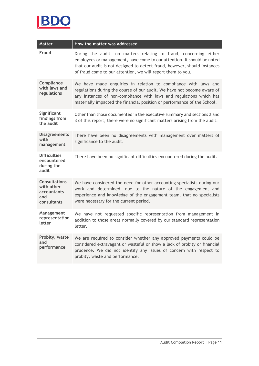

| <b>Matter</b>                                                                  | How the matter was addressed                                                                                                                                                                                                                                                                 |  |
|--------------------------------------------------------------------------------|----------------------------------------------------------------------------------------------------------------------------------------------------------------------------------------------------------------------------------------------------------------------------------------------|--|
| Fraud                                                                          | During the audit, no matters relating to fraud, concerning either<br>employees or management, have come to our attention. It should be noted<br>that our audit is not designed to detect fraud, however, should instances<br>of fraud come to our attention, we will report them to you.     |  |
| Compliance<br>with laws and<br>regulations                                     | We have made enquiries in relation to compliance with laws and<br>regulations during the course of our audit. We have not become aware of<br>any instances of non-compliance with laws and regulations which has<br>materially impacted the financial position or performance of the School. |  |
| Significant<br>findings from<br>the audit                                      | Other than those documented in the executive summary and sections 2 and<br>3 of this report, there were no significant matters arising from the audit.                                                                                                                                       |  |
| <b>Disagreements</b><br>with<br>management                                     | There have been no disagreements with management over matters of<br>significance to the audit.                                                                                                                                                                                               |  |
| <b>Difficulties</b><br>encountered<br>during the<br>audit                      | There have been no significant difficulties encountered during the audit.                                                                                                                                                                                                                    |  |
| <b>Consultations</b><br>with other<br><b>accountants</b><br>and<br>consultants | We have considered the need for other accounting specialists during our<br>work and determined, due to the nature of the engagement and<br>experience and knowledge of the engagement team, that no specialists<br>were necessary for the current period.                                    |  |
| Management<br>representation<br>letter                                         | We have not requested specific representation from management in<br>addition to those areas normally covered by our standard representation<br>letter.                                                                                                                                       |  |
| Probity, waste<br>and<br>performance                                           | We are required to consider whether any approved payments could be<br>considered extravagant or wasteful or show a lack of probity or financial<br>prudence. We did not identify any issues of concern with respect to<br>probity, waste and performance.                                    |  |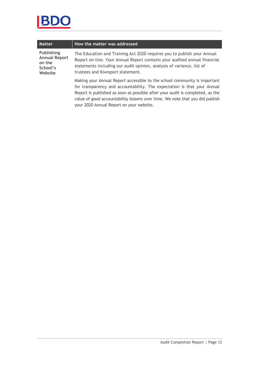

| <b>Matter</b>                                                              | How the matter was addressed                                                                                                                                                                                                                                                                                                                                       |
|----------------------------------------------------------------------------|--------------------------------------------------------------------------------------------------------------------------------------------------------------------------------------------------------------------------------------------------------------------------------------------------------------------------------------------------------------------|
| <b>Publishing</b><br><b>Annual Report</b><br>on the<br>School's<br>Website | The Education and Training Act 2020 requires you to publish your Annual<br>Report on-line. Your Annual Report contains your audited annual financial<br>statements including our audit opinion, analysis of variance, list of<br>trustees and Kiwisport statement.                                                                                                 |
|                                                                            | Making your Annual Report accessible to the school community is important<br>for transparency and accountability. The expectation is that your Annual<br>Report is published as soon as possible after your audit is completed, as the<br>value of good accountability lessens over time. We note that you did publish<br>your 2020 Annual Report on your website. |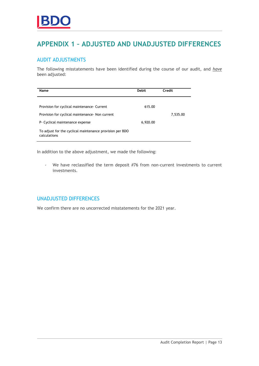## <span id="page-15-0"></span>**APPENDIX 1 – ADJUSTED AND UNADJUSTED DIFFERENCES**

#### AUDIT ADJUSTMENTS

The following misstatements have been identified during the course of our audit, and *have* been adjusted:

| Name                                                                     | <b>Debit</b> | Credit   |
|--------------------------------------------------------------------------|--------------|----------|
|                                                                          |              |          |
| Provision for cyclical maintenance Current                               | 615.00       |          |
| Provision for cyclical maintenance - Non current                         |              | 7,535.00 |
| P Cyclical maintenance expense                                           | 6,920.00     |          |
| To adjust for the cyclical maintenance provision per BDO<br>calculations |              |          |

In addition to the above adjustment, we made the following:

- We have reclassified the term deposit #76 from non-current investments to current investments.

#### UNADJUSTED DIFFERENCES

We confirm there are no uncorrected misstatements for the 2021 year.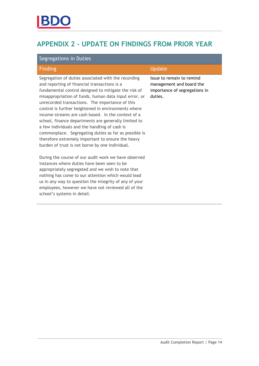## <span id="page-16-0"></span>**APPENDIX 2 - UPDATE ON FINDINGS FROM PRIOR YEAR**

| Segregations in Duties                                                                                                                                                                                                                                                                                                                                                                                                                                                                                                                                                                                                                                         |                                                                                                   |  |
|----------------------------------------------------------------------------------------------------------------------------------------------------------------------------------------------------------------------------------------------------------------------------------------------------------------------------------------------------------------------------------------------------------------------------------------------------------------------------------------------------------------------------------------------------------------------------------------------------------------------------------------------------------------|---------------------------------------------------------------------------------------------------|--|
| <b>Finding</b>                                                                                                                                                                                                                                                                                                                                                                                                                                                                                                                                                                                                                                                 | Update                                                                                            |  |
| Segregation of duties associated with the recording<br>and reporting of financial transactions is a<br>fundamental control designed to mitigate the risk of<br>misappropriation of funds, human data input error, or<br>unrecorded transactions. The importance of this<br>control is further heightened in environments where<br>income streams are cash based. In the context of a<br>school, finance departments are generally limited to<br>a few individuals and the handling of cash is<br>commonplace. Segregating duties as far as possible is<br>therefore extremely important to ensure the heavy<br>burden of trust is not borne by one individual. | Issue to remain to remind<br>management and board the<br>importance of segregations in<br>duties. |  |
| During the course of our audit work we have observed<br>instances where duties have been seen to be                                                                                                                                                                                                                                                                                                                                                                                                                                                                                                                                                            |                                                                                                   |  |

appropriately segregated and we wish to note that nothing has come to our attention which would lead us in any way to question the integrity of any of your employees, however we have not reviewed all of the

school's systems in detail.